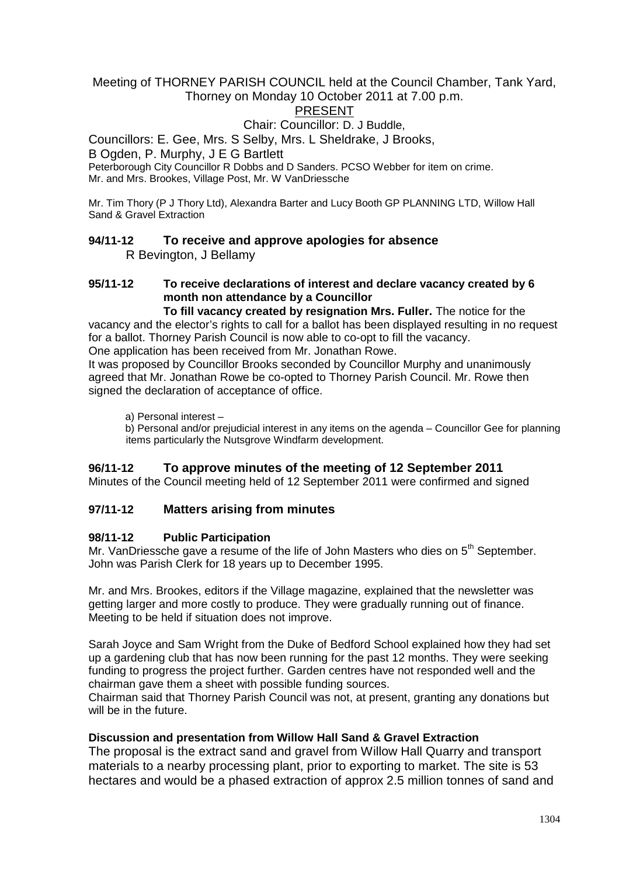#### Meeting of THORNEY PARISH COUNCIL held at the Council Chamber, Tank Yard, Thorney on Monday 10 October 2011 at 7.00 p.m.

# PRESENT

#### Chair: Councillor: D. J Buddle,

Councillors: E. Gee, Mrs. S Selby, Mrs. L Sheldrake, J Brooks,

B Ogden, P. Murphy, J E G Bartlett

Peterborough City Councillor R Dobbs and D Sanders. PCSO Webber for item on crime. Mr. and Mrs. Brookes, Village Post, Mr. W VanDriessche

Mr. Tim Thory (P J Thory Ltd), Alexandra Barter and Lucy Booth GP PLANNING LTD, Willow Hall Sand & Gravel Extraction

### **94/11-12 To receive and approve apologies for absence** R Bevington, J Bellamy

# **95/11-12 To receive declarations of interest and declare vacancy created by 6 month non attendance by a Councillor**

**To fill vacancy created by resignation Mrs. Fuller.** The notice for the vacancy and the elector's rights to call for a ballot has been displayed resulting in no request for a ballot. Thorney Parish Council is now able to co-opt to fill the vacancy. One application has been received from Mr. Jonathan Rowe.

It was proposed by Councillor Brooks seconded by Councillor Murphy and unanimously agreed that Mr. Jonathan Rowe be co-opted to Thorney Parish Council. Mr. Rowe then signed the declaration of acceptance of office.

a) Personal interest –

b) Personal and/or prejudicial interest in any items on the agenda – Councillor Gee for planning items particularly the Nutsgrove Windfarm development.

#### **96/11-12 To approve minutes of the meeting of 12 September 2011**

Minutes of the Council meeting held of 12 September 2011 were confirmed and signed

#### **97/11-12 Matters arising from minutes**

#### **98/11-12 Public Participation**

Mr. VanDriessche gave a resume of the life of John Masters who dies on  $5<sup>th</sup>$  September. John was Parish Clerk for 18 years up to December 1995.

Mr. and Mrs. Brookes, editors if the Village magazine, explained that the newsletter was getting larger and more costly to produce. They were gradually running out of finance. Meeting to be held if situation does not improve.

Sarah Joyce and Sam Wright from the Duke of Bedford School explained how they had set up a gardening club that has now been running for the past 12 months. They were seeking funding to progress the project further. Garden centres have not responded well and the chairman gave them a sheet with possible funding sources.

Chairman said that Thorney Parish Council was not, at present, granting any donations but will be in the future.

#### **Discussion and presentation from Willow Hall Sand & Gravel Extraction**

The proposal is the extract sand and gravel from Willow Hall Quarry and transport materials to a nearby processing plant, prior to exporting to market. The site is 53 hectares and would be a phased extraction of approx 2.5 million tonnes of sand and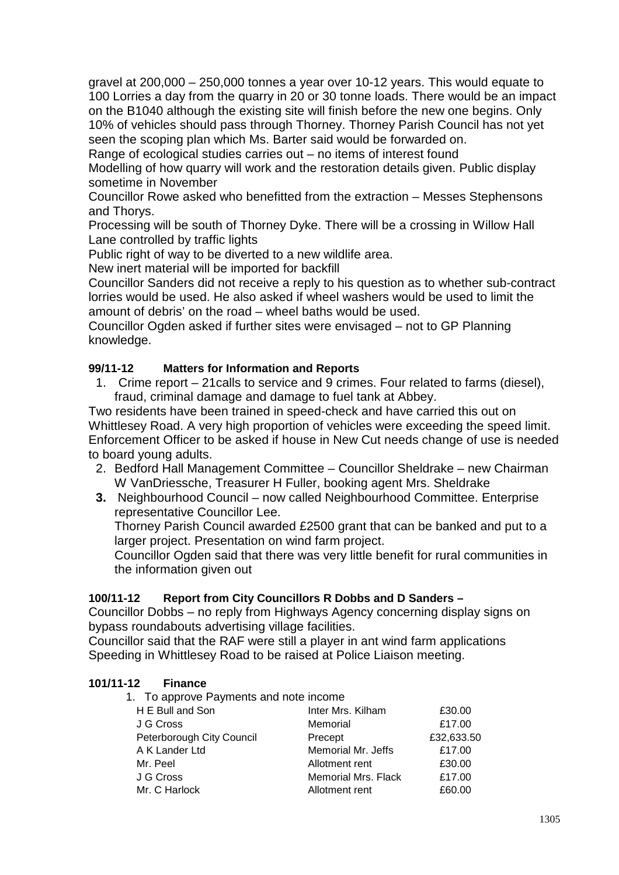gravel at 200,000 – 250,000 tonnes a year over 10-12 years. This would equate to 100 Lorries a day from the quarry in 20 or 30 tonne loads. There would be an impact on the B1040 although the existing site will finish before the new one begins. Only 10% of vehicles should pass through Thorney. Thorney Parish Council has not yet seen the scoping plan which Ms. Barter said would be forwarded on.

Range of ecological studies carries out – no items of interest found

Modelling of how quarry will work and the restoration details given. Public display sometime in November

Councillor Rowe asked who benefitted from the extraction – Messes Stephensons and Thorys.

Processing will be south of Thorney Dyke. There will be a crossing in Willow Hall Lane controlled by traffic lights

Public right of way to be diverted to a new wildlife area.

New inert material will be imported for backfill

Councillor Sanders did not receive a reply to his question as to whether sub-contract lorries would be used. He also asked if wheel washers would be used to limit the amount of debris' on the road – wheel baths would be used.

Councillor Ogden asked if further sites were envisaged – not to GP Planning knowledge.

# **99/11-12 Matters for Information and Reports**

1. Crime report – 21calls to service and 9 crimes. Four related to farms (diesel), fraud, criminal damage and damage to fuel tank at Abbey.

Two residents have been trained in speed-check and have carried this out on Whittlesey Road. A very high proportion of vehicles were exceeding the speed limit. Enforcement Officer to be asked if house in New Cut needs change of use is needed to board young adults.

- 2. Bedford Hall Management Committee Councillor Sheldrake new Chairman W VanDriessche, Treasurer H Fuller, booking agent Mrs. Sheldrake
- **3.** Neighbourhood Council now called Neighbourhood Committee. Enterprise representative Councillor Lee.

Thorney Parish Council awarded £2500 grant that can be banked and put to a larger project. Presentation on wind farm project.

Councillor Ogden said that there was very little benefit for rural communities in the information given out

# **100/11-12 Report from City Councillors R Dobbs and D Sanders –**

Councillor Dobbs – no reply from Highways Agency concerning display signs on bypass roundabouts advertising village facilities.

Councillor said that the RAF were still a player in ant wind farm applications Speeding in Whittlesey Road to be raised at Police Liaison meeting.

# **101/11-12 Finance**

1. To approve Payments and note income

| H E Bull and Son          | Inter Mrs. Kilham   | £30.00     |
|---------------------------|---------------------|------------|
| J G Cross                 | Memorial            | £17.00     |
| Peterborough City Council | Precept             | £32,633.50 |
| A K Lander Ltd            | Memorial Mr. Jeffs  | £17.00     |
| Mr. Peel                  | Allotment rent      | £30.00     |
| J G Cross                 | Memorial Mrs. Flack | £17.00     |
| Mr. C Harlock             | Allotment rent      | £60.00     |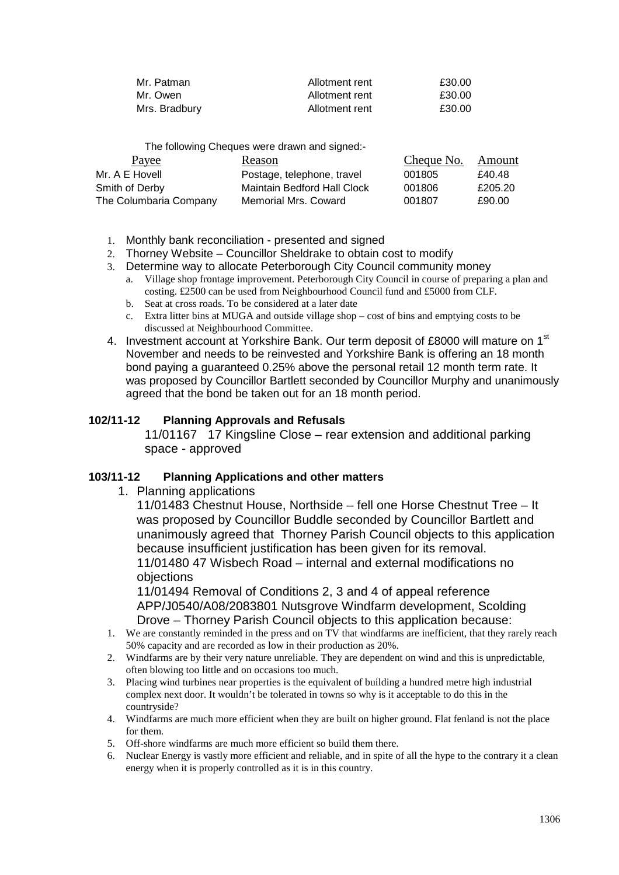| Mr. Patman    | Allotment rent | £30.00 |
|---------------|----------------|--------|
| Mr. Owen      | Allotment rent | £30.00 |
| Mrs. Bradbury | Allotment rent | £30.00 |

The following Cheques were drawn and signed:-

| Payee                  | Reason                             | Cheque No. | Amount  |
|------------------------|------------------------------------|------------|---------|
| Mr. A E Hovell         | Postage, telephone, travel         | 001805     | £40.48  |
| Smith of Derby         | <b>Maintain Bedford Hall Clock</b> | 001806     | £205.20 |
| The Columbaria Company | Memorial Mrs. Coward               | 001807     | £90.00  |

- 1. Monthly bank reconciliation presented and signed
- 2. Thorney Website Councillor Sheldrake to obtain cost to modify
- 3. Determine way to allocate Peterborough City Council community money
	- a. Village shop frontage improvement. Peterborough City Council in course of preparing a plan and costing. £2500 can be used from Neighbourhood Council fund and £5000 from CLF.
	- b. Seat at cross roads. To be considered at a later date
	- c. Extra litter bins at MUGA and outside village shop cost of bins and emptying costs to be discussed at Neighbourhood Committee.
- 4. Investment account at Yorkshire Bank. Our term deposit of £8000 will mature on 1<sup>st</sup> November and needs to be reinvested and Yorkshire Bank is offering an 18 month bond paying a guaranteed 0.25% above the personal retail 12 month term rate. It was proposed by Councillor Bartlett seconded by Councillor Murphy and unanimously agreed that the bond be taken out for an 18 month period.

#### **102/11-12 Planning Approvals and Refusals**

11/01167 17 Kingsline Close – rear extension and additional parking space - approved

#### **103/11-12 Planning Applications and other matters**

1. Planning applications

11/01483 Chestnut House, Northside – fell one Horse Chestnut Tree – It was proposed by Councillor Buddle seconded by Councillor Bartlett and unanimously agreed that Thorney Parish Council objects to this application because insufficient justification has been given for its removal. 11/01480 47 Wisbech Road – internal and external modifications no

objections

11/01494 Removal of Conditions 2, 3 and 4 of appeal reference APP/J0540/A08/2083801 Nutsgrove Windfarm development, Scolding Drove – Thorney Parish Council objects to this application because:

- 1. We are constantly reminded in the press and on TV that windfarms are inefficient, that they rarely reach 50% capacity and are recorded as low in their production as 20%.
- 2. Windfarms are by their very nature unreliable. They are dependent on wind and this is unpredictable, often blowing too little and on occasions too much.
- 3. Placing wind turbines near properties is the equivalent of building a hundred metre high industrial complex next door. It wouldn't be tolerated in towns so why is it acceptable to do this in the countryside?
- 4. Windfarms are much more efficient when they are built on higher ground. Flat fenland is not the place for them.
- 5. Off-shore windfarms are much more efficient so build them there.
- 6. Nuclear Energy is vastly more efficient and reliable, and in spite of all the hype to the contrary it a clean energy when it is properly controlled as it is in this country.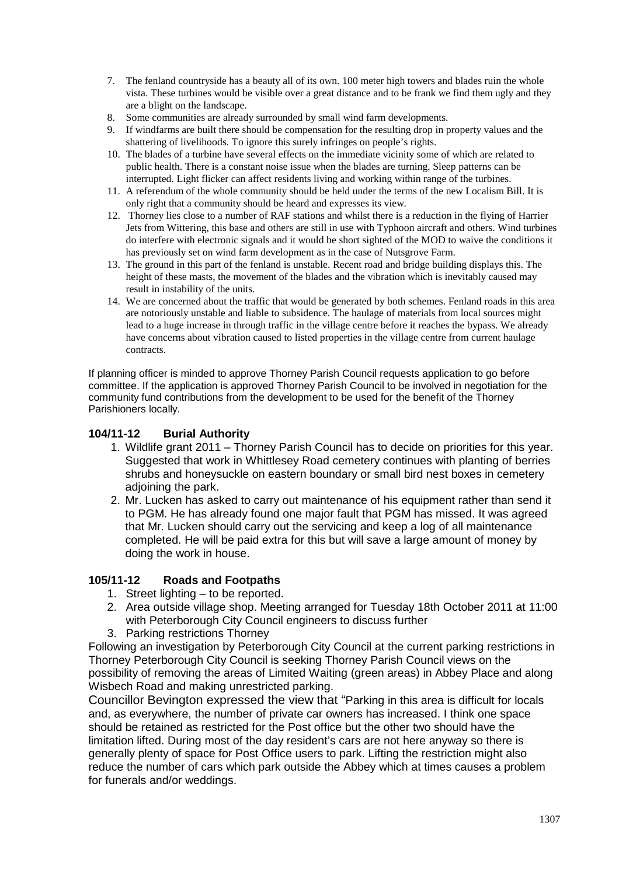- 7. The fenland countryside has a beauty all of its own. 100 meter high towers and blades ruin the whole vista. These turbines would be visible over a great distance and to be frank we find them ugly and they are a blight on the landscape.
- 8. Some communities are already surrounded by small wind farm developments.
- 9. If windfarms are built there should be compensation for the resulting drop in property values and the shattering of livelihoods. To ignore this surely infringes on people's rights.
- 10. The blades of a turbine have several effects on the immediate vicinity some of which are related to public health. There is a constant noise issue when the blades are turning. Sleep patterns can be interrupted. Light flicker can affect residents living and working within range of the turbines.
- 11. A referendum of the whole community should be held under the terms of the new Localism Bill. It is only right that a community should be heard and expresses its view.
- 12. Thorney lies close to a number of RAF stations and whilst there is a reduction in the flying of Harrier Jets from Wittering, this base and others are still in use with Typhoon aircraft and others. Wind turbines do interfere with electronic signals and it would be short sighted of the MOD to waive the conditions it has previously set on wind farm development as in the case of Nutsgrove Farm.
- 13. The ground in this part of the fenland is unstable. Recent road and bridge building displays this. The height of these masts, the movement of the blades and the vibration which is inevitably caused may result in instability of the units.
- 14. We are concerned about the traffic that would be generated by both schemes. Fenland roads in this area are notoriously unstable and liable to subsidence. The haulage of materials from local sources might lead to a huge increase in through traffic in the village centre before it reaches the bypass. We already have concerns about vibration caused to listed properties in the village centre from current haulage contracts.

If planning officer is minded to approve Thorney Parish Council requests application to go before committee. If the application is approved Thorney Parish Council to be involved in negotiation for the community fund contributions from the development to be used for the benefit of the Thorney Parishioners locally.

#### **104/11-12 Burial Authority**

- 1. Wildlife grant 2011 Thorney Parish Council has to decide on priorities for this year. Suggested that work in Whittlesey Road cemetery continues with planting of berries shrubs and honeysuckle on eastern boundary or small bird nest boxes in cemetery adioining the park.
- 2. Mr. Lucken has asked to carry out maintenance of his equipment rather than send it to PGM. He has already found one major fault that PGM has missed. It was agreed that Mr. Lucken should carry out the servicing and keep a log of all maintenance completed. He will be paid extra for this but will save a large amount of money by doing the work in house.

#### **105/11-12 Roads and Footpaths**

- 1. Street lighting to be reported.
- 2. Area outside village shop. Meeting arranged for Tuesday 18th October 2011 at 11:00 with Peterborough City Council engineers to discuss further
- 3. Parking restrictions Thorney

Following an investigation by Peterborough City Council at the current parking restrictions in Thorney Peterborough City Council is seeking Thorney Parish Council views on the possibility of removing the areas of Limited Waiting (green areas) in Abbey Place and along Wisbech Road and making unrestricted parking.

Councillor Bevington expressed the view that "Parking in this area is difficult for locals and, as everywhere, the number of private car owners has increased. I think one space should be retained as restricted for the Post office but the other two should have the limitation lifted. During most of the day resident's cars are not here anyway so there is generally plenty of space for Post Office users to park. Lifting the restriction might also reduce the number of cars which park outside the Abbey which at times causes a problem for funerals and/or weddings.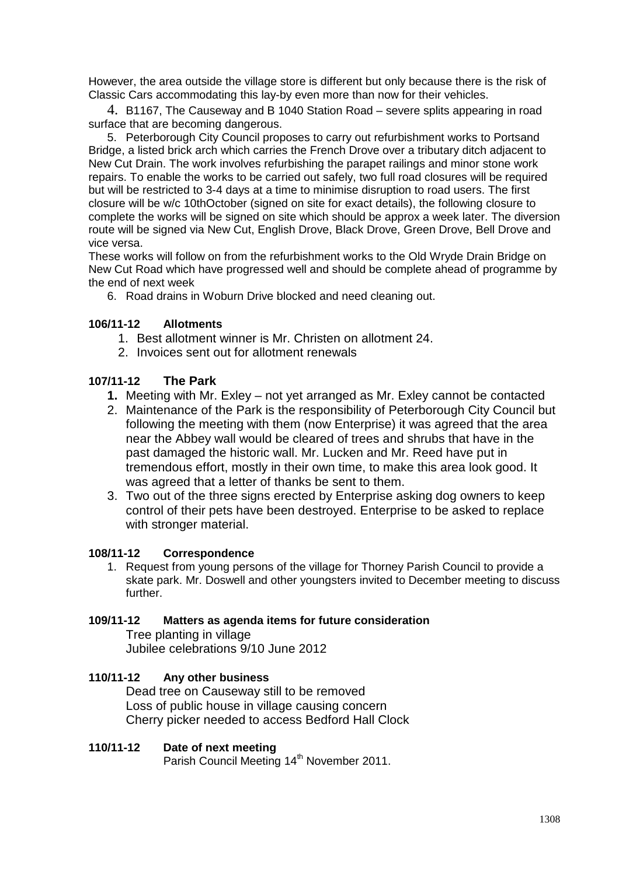However, the area outside the village store is different but only because there is the risk of Classic Cars accommodating this lay-by even more than now for their vehicles.

4. B1167, The Causeway and B 1040 Station Road – severe splits appearing in road surface that are becoming dangerous.

5. Peterborough City Council proposes to carry out refurbishment works to Portsand Bridge, a listed brick arch which carries the French Drove over a tributary ditch adjacent to New Cut Drain. The work involves refurbishing the parapet railings and minor stone work repairs. To enable the works to be carried out safely, two full road closures will be required but will be restricted to 3-4 days at a time to minimise disruption to road users. The first closure will be w/c 10thOctober (signed on site for exact details), the following closure to complete the works will be signed on site which should be approx a week later. The diversion route will be signed via New Cut, English Drove, Black Drove, Green Drove, Bell Drove and vice versa.

These works will follow on from the refurbishment works to the Old Wryde Drain Bridge on New Cut Road which have progressed well and should be complete ahead of programme by the end of next week

6. Road drains in Woburn Drive blocked and need cleaning out.

### **106/11-12 Allotments**

- 1. Best allotment winner is Mr. Christen on allotment 24.
- 2. Invoices sent out for allotment renewals

### **107/11-12 The Park**

- **1.** Meeting with Mr. Exley not yet arranged as Mr. Exley cannot be contacted
- 2. Maintenance of the Park is the responsibility of Peterborough City Council but following the meeting with them (now Enterprise) it was agreed that the area near the Abbey wall would be cleared of trees and shrubs that have in the past damaged the historic wall. Mr. Lucken and Mr. Reed have put in tremendous effort, mostly in their own time, to make this area look good. It was agreed that a letter of thanks be sent to them.
- 3. Two out of the three signs erected by Enterprise asking dog owners to keep control of their pets have been destroyed. Enterprise to be asked to replace with stronger material.

#### **108/11-12 Correspondence**

1. Request from young persons of the village for Thorney Parish Council to provide a skate park. Mr. Doswell and other youngsters invited to December meeting to discuss further.

### **109/11-12 Matters as agenda items for future consideration**

Tree planting in village Jubilee celebrations 9/10 June 2012

#### **110/11-12 Any other business**

Dead tree on Causeway still to be removed Loss of public house in village causing concern Cherry picker needed to access Bedford Hall Clock

#### **110/11-12 Date of next meeting**

Parish Council Meeting 14<sup>th</sup> November 2011.